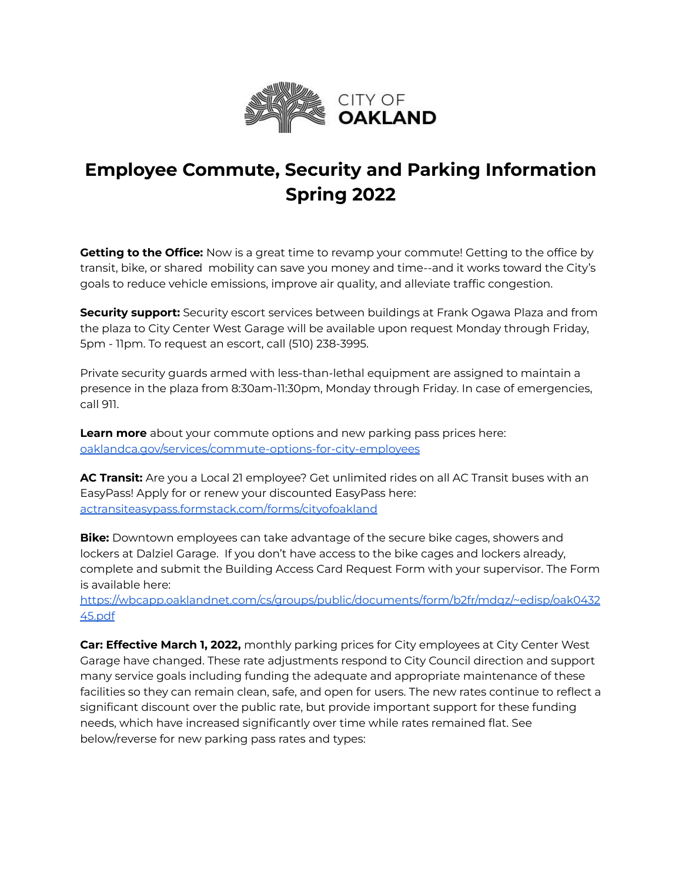

## **Employee Commute, Security and Parking Information Spring 2022**

**Getting to the Office:** Now is a great time to revamp your commute! Getting to the office by transit, bike, or shared mobility can save you money and time--and it works toward the City's goals to reduce vehicle emissions, improve air quality, and alleviate traffic congestion.

**Security support:** Security escort services between buildings at Frank Ogawa Plaza and from the plaza to City Center West Garage will be available upon request Monday through Friday, 5pm - 11pm. To request an escort, call (510) 238-3995.

Private security guards armed with less-than-lethal equipment are assigned to maintain a presence in the plaza from 8:30am-11:30pm, Monday through Friday. In case of emergencies, call 911.

**Learn more** about your commute options and new parking pass prices here: [oaklandca.gov/services/commute-options-for-city-employees](https://www.oaklandca.gov/services/commute-options-for-city-employees)

**AC Transit:** Are you a Local 21 employee? Get unlimited rides on all AC Transit buses with an EasyPass! Apply for or renew your discounted EasyPass here: [actransiteasypass.formstack.com/forms/cityofoakland](https://actransiteasypass.formstack.com/forms/cityofoakland)

**Bike:** Downtown employees can take advantage of the secure bike cages, showers and lockers at Dalziel Garage. If you don't have access to the bike cages and lockers already, complete and submit the Building Access Card Request Form with your supervisor. The Form is available here[:](https://wbcapp.oaklandnet.com/cs/groups/public/documents/form/b2fr/mdqz/~edisp/oak043245.pdf)

[https://wbcapp.oaklandnet.com/cs/groups/public/documents/form/b2fr/mdqz/~edisp/oak0432](https://wbcapp.oaklandnet.com/cs/groups/public/documents/form/b2fr/mdqz/~edisp/oak043245.pdf) [45.pdf](https://wbcapp.oaklandnet.com/cs/groups/public/documents/form/b2fr/mdqz/~edisp/oak043245.pdf)

**Car: Effective March 1, 2022,** monthly parking prices for City employees at City Center West Garage have changed. These rate adjustments respond to City Council direction and support many service goals including funding the adequate and appropriate maintenance of these facilities so they can remain clean, safe, and open for users. The new rates continue to reflect a significant discount over the public rate, but provide important support for these funding needs, which have increased significantly over time while rates remained flat. See below/reverse for new parking pass rates and types: